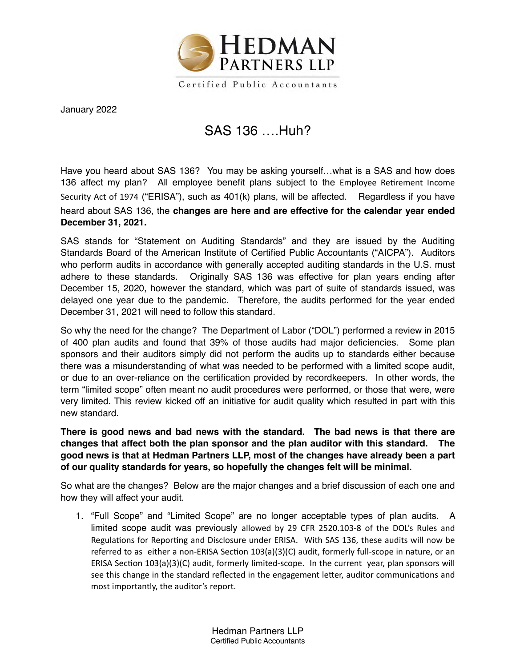

Certified Public Accountants

January 2022

## SAS 136 ….Huh?

Have you heard about SAS 136? You may be asking yourself…what is a SAS and how does 136 affect my plan? All employee benefit plans subject to the Employee Retirement Income Security Act of 1974 ("ERISA"), such as 401(k) plans, will be affected. Regardless if you have heard about SAS 136, the **changes are here and are effective for the calendar year ended December 31, 2021.**

SAS stands for "Statement on Auditing Standards" and they are issued by the Auditing Standards Board of the American Institute of Certified Public Accountants ("AICPA"). Auditors who perform audits in accordance with generally accepted auditing standards in the U.S. must adhere to these standards. Originally SAS 136 was effective for plan years ending after December 15, 2020, however the standard, which was part of suite of standards issued, was delayed one year due to the pandemic. Therefore, the audits performed for the year ended December 31, 2021 will need to follow this standard.

So why the need for the change? The Department of Labor ("DOL") performed a review in 2015 of 400 plan audits and found that 39% of those audits had major deficiencies. Some plan sponsors and their auditors simply did not perform the audits up to standards either because there was a misunderstanding of what was needed to be performed with a limited scope audit, or due to an over-reliance on the certification provided by recordkeepers. In other words, the term "limited scope" often meant no audit procedures were performed, or those that were, were very limited. This review kicked off an initiative for audit quality which resulted in part with this new standard.

**There is good news and bad news with the standard. The bad news is that there are changes that affect both the plan sponsor and the plan auditor with this standard. The good news is that at Hedman Partners LLP, most of the changes have already been a part of our quality standards for years, so hopefully the changes felt will be minimal.** 

So what are the changes? Below are the major changes and a brief discussion of each one and how they will affect your audit.

1. "Full Scope" and "Limited Scope" are no longer acceptable types of plan audits. A limited scope audit was previously allowed by 29 CFR 2520.103-8 of the DOL's Rules and Regulations for Reporting and Disclosure under ERISA. With SAS 136, these audits will now be referred to as either a non-ERISA Section 103(a)(3)(C) audit, formerly full-scope in nature, or an ERISA Section 103(a)(3)(C) audit, formerly limited-scope. In the current year, plan sponsors will see this change in the standard reflected in the engagement letter, auditor communications and most importantly, the auditor's report.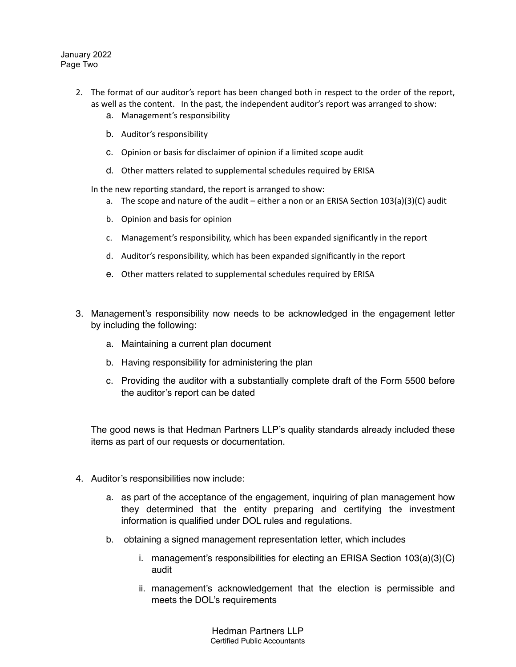January 2022 Page Two

- 2. The format of our auditor's report has been changed both in respect to the order of the report, as well as the content. In the past, the independent auditor's report was arranged to show:
	- a. Management's responsibility
	- b. Auditor's responsibility
	- c. Opinion or basis for disclaimer of opinion if a limited scope audit
	- d. Other matters related to supplemental schedules required by ERISA

In the new reporting standard, the report is arranged to show:

- a. The scope and nature of the audit either a non or an ERISA Section 103(a)(3)(C) audit
- b. Opinion and basis for opinion
- c. Management's responsibility, which has been expanded significantly in the report
- d. Auditor's responsibility, which has been expanded significantly in the report
- e. Other matters related to supplemental schedules required by ERISA
- 3. Management's responsibility now needs to be acknowledged in the engagement letter by including the following:
	- a. Maintaining a current plan document
	- b. Having responsibility for administering the plan
	- c. Providing the auditor with a substantially complete draft of the Form 5500 before the auditor's report can be dated

The good news is that Hedman Partners LLP's quality standards already included these items as part of our requests or documentation.

- 4. Auditor's responsibilities now include:
	- a. as part of the acceptance of the engagement, inquiring of plan management how they determined that the entity preparing and certifying the investment information is qualified under DOL rules and regulations.
	- b. obtaining a signed management representation letter, which includes
		- i. management's responsibilities for electing an ERISA Section 103(a)(3)(C) audit
		- ii. management's acknowledgement that the election is permissible and meets the DOL's requirements

Hedman Partners LLP Certified Public Accountants